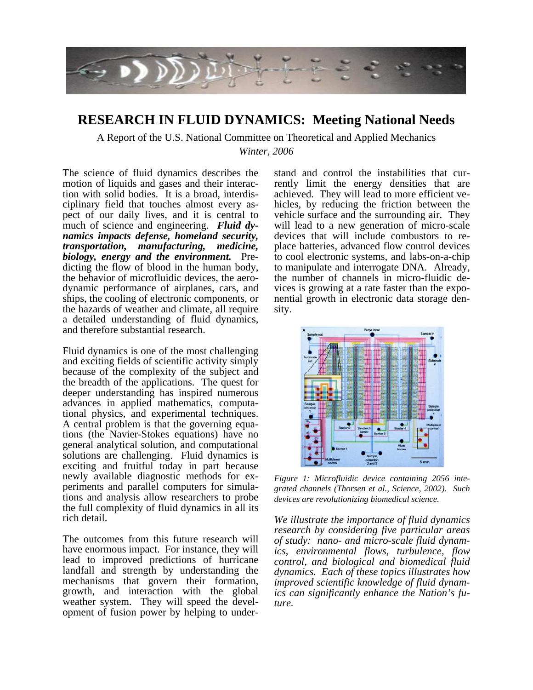

# **RESEARCH IN FLUID DYNAMICS: Meeting National Needs**

A Report of the U.S. National Committee on Theoretical and Applied Mechanics *Winter, 2006*

The science of fluid dynamics describes the motion of liquids and gases and their interaction with solid bodies. It is a broad, interdisciplinary field that touches almost every aspect of our daily lives, and it is central to much of science and engineering. *Fluid dynamics impacts defense, homeland security, transportation, manufacturing, medicine, biology, energy and the environment.* Predicting the flow of blood in the human body, the behavior of microfluidic devices, the aerodynamic performance of airplanes, cars, and ships, the cooling of electronic components, or the hazards of weather and climate, all require a detailed understanding of fluid dynamics, and therefore substantial research.

Fluid dynamics is one of the most challenging and exciting fields of scientific activity simply because of the complexity of the subject and the breadth of the applications. The quest for deeper understanding has inspired numerous advances in applied mathematics, computational physics, and experimental techniques. A central problem is that the governing equations (the Navier-Stokes equations) have no general analytical solution, and computational solutions are challenging. Fluid dynamics is exciting and fruitful today in part because newly available diagnostic methods for experiments and parallel computers for simulations and analysis allow researchers to probe the full complexity of fluid dynamics in all its rich detail.

The outcomes from this future research will have enormous impact. For instance, they will lead to improved predictions of hurricane landfall and strength by understanding the mechanisms that govern their formation, growth, and interaction with the global weather system. They will speed the development of fusion power by helping to understand and control the instabilities that currently limit the energy densities that are achieved. They will lead to more efficient vehicles, by reducing the friction between the vehicle surface and the surrounding air. They will lead to a new generation of micro-scale devices that will include combustors to replace batteries, advanced flow control devices to cool electronic systems, and labs-on-a-chip to manipulate and interrogate DNA. Already, the number of channels in micro-fluidic devices is growing at a rate faster than the exponential growth in electronic data storage density.



*Figure 1: Microfluidic device containing 2056 integrated channels (Thorsen et al., Science, 2002). Such devices are revolutionizing biomedical science.* 

*We illustrate the importance of fluid dynamics research by considering five particular areas of study: nano- and micro-scale fluid dynamics, environmental flows, turbulence, flow control, and biological and biomedical fluid dynamics. Each of these topics illustrates how improved scientific knowledge of fluid dynamics can significantly enhance the Nation's future.*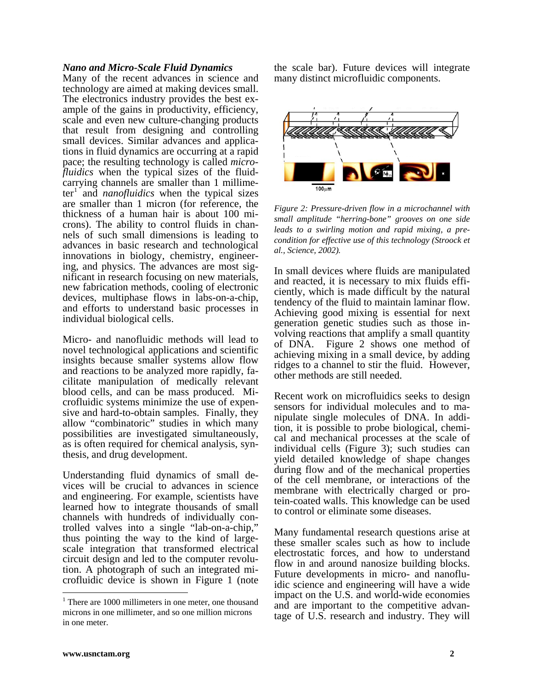#### *Nano and Micro-Scale Fluid Dynamics*

Many of the recent advances in science and technology are aimed at making devices small. The electronics industry provides the best example of the gains in productivity, efficiency, scale and even new culture-changing products that result from designing and controlling small devices. Similar advances and applications in fluid dynamics are occurring at a rapid pace; the resulting technology is called *microfluidics* when the typical sizes of the fluidcarrying channels are smaller than 1 millime- $ter<sup>1</sup>$  $ter<sup>1</sup>$  $ter<sup>1</sup>$  and *nanofluidics* when the typical sizes are smaller than 1 micron (for reference, the thickness of a human hair is about 100 microns). The ability to control fluids in channels of such small dimensions is leading to advances in basic research and technological innovations in biology, chemistry, engineering, and physics. The advances are most significant in research focusing on new materials, new fabrication methods, cooling of electronic devices, multiphase flows in labs-on-a-chip, and efforts to understand basic processes in individual biological cells.

Micro- and nanofluidic methods will lead to novel technological applications and scientific insights because smaller systems allow flow and reactions to be analyzed more rapidly, facilitate manipulation of medically relevant blood cells, and can be mass produced. Microfluidic systems minimize the use of expensive and hard-to-obtain samples. Finally, they allow "combinatoric" studies in which many possibilities are investigated simultaneously, as is often required for chemical analysis, synthesis, and drug development.

Understanding fluid dynamics of small devices will be crucial to advances in science and engineering. For example, scientists have learned how to integrate thousands of small channels with hundreds of individually controlled valves into a single "lab-on-a-chip," thus pointing the way to the kind of largescale integration that transformed electrical circuit design and led to the computer revolution. A photograph of such an integrated microfluidic device is shown in Figure 1 (note

the scale bar). Future devices will integrate many distinct microfluidic components.



*Figure 2: Pressure-driven flow in a microchannel with small amplitude "herring-bone" grooves on one side leads to a swirling motion and rapid mixing, a precondition for effective use of this technology (Stroock et al., Science, 2002).* 

In small devices where fluids are manipulated and reacted, it is necessary to mix fluids efficiently, which is made difficult by the natural tendency of the fluid to maintain laminar flow. Achieving good mixing is essential for next generation genetic studies such as those involving reactions that amplify a small quantity of DNA. Figure 2 shows one method of achieving mixing in a small device, by adding ridges to a channel to stir the fluid. However, other methods are still needed.

Recent work on microfluidics seeks to design sensors for individual molecules and to manipulate single molecules of DNA. In addition, it is possible to probe biological, chemical and mechanical processes at the scale of individual cells (Figure 3); such studies can yield detailed knowledge of shape changes during flow and of the mechanical properties of the cell membrane, or interactions of the membrane with electrically charged or protein-coated walls. This knowledge can be used to control or eliminate some diseases.

Many fundamental research questions arise at these smaller scales such as how to include electrostatic forces, and how to understand flow in and around nanosize building blocks. Future developments in micro- and nanofluidic science and engineering will have a wide impact on the U.S. and world-wide economies and are important to the competitive advantage of U.S. research and industry. They will

 $\overline{a}$ 

<span id="page-1-0"></span><sup>&</sup>lt;sup>1</sup> There are 1000 millimeters in one meter, one thousand microns in one millimeter, and so one million microns in one meter.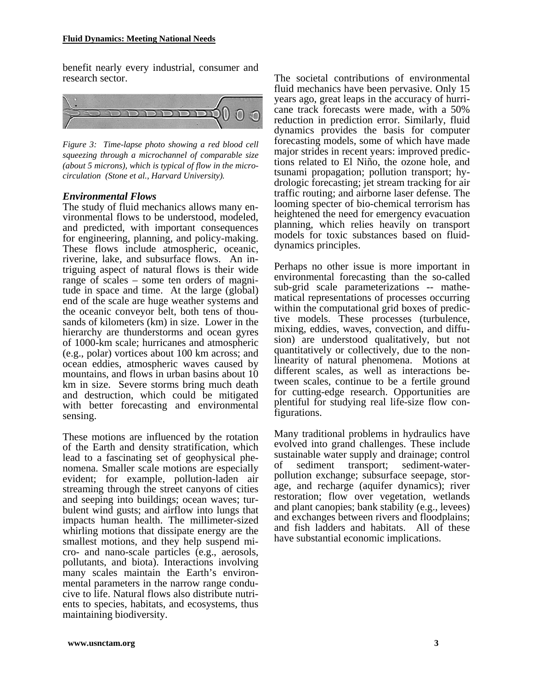benefit nearly every industrial, consumer and research sector.



*Figure 3: Time-lapse photo showing a red blood cell squeezing through a microchannel of comparable size (about 5 microns), which is typical of flow in the microcirculation (Stone et al., Harvard University).*

## *Environmental Flows*

The study of fluid mechanics allows many environmental flows to be understood, modeled, and predicted, with important consequences for engineering, planning, and policy-making. These flows include atmospheric, oceanic, riverine, lake, and subsurface flows. An intriguing aspect of natural flows is their wide range of scales – some ten orders of magnitude in space and time. At the large (global) end of the scale are huge weather systems and the oceanic conveyor belt, both tens of thousands of kilometers (km) in size. Lower in the hierarchy are thunderstorms and ocean gyres of 1000-km scale; hurricanes and atmospheric (e.g., polar) vortices about 100 km across; and ocean eddies, atmospheric waves caused by mountains, and flows in urban basins about 10 km in size. Severe storms bring much death and destruction, which could be mitigated with better forecasting and environmental sensing.

These motions are influenced by the rotation of the Earth and density stratification, which lead to a fascinating set of geophysical phenomena. Smaller scale motions are especially evident; for example, pollution-laden air streaming through the street canyons of cities and seeping into buildings; ocean waves; turbulent wind gusts; and airflow into lungs that impacts human health. The millimeter-sized whirling motions that dissipate energy are the smallest motions, and they help suspend micro- and nano-scale particles (e.g., aerosols, pollutants, and biota). Interactions involving many scales maintain the Earth's environmental parameters in the narrow range conducive to life. Natural flows also distribute nutrients to species, habitats, and ecosystems, thus maintaining biodiversity.

The societal contributions of environmental fluid mechanics have been pervasive. Only 15 years ago, great leaps in the accuracy of hurricane track forecasts were made, with a 50% reduction in prediction error. Similarly, fluid dynamics provides the basis for computer forecasting models, some of which have made major strides in recent years: improved predictions related to El Niño, the ozone hole, and tsunami propagation; pollution transport; hydrologic forecasting; jet stream tracking for air traffic routing; and airborne laser defense. The looming specter of bio-chemical terrorism has heightened the need for emergency evacuation planning, which relies heavily on transport models for toxic substances based on fluiddynamics principles.

Perhaps no other issue is more important in environmental forecasting than the so-called sub-grid scale parameterizations -- mathematical representations of processes occurring within the computational grid boxes of predictive models. These processes (turbulence, mixing, eddies, waves, convection, and diffusion) are understood qualitatively, but not quantitatively or collectively, due to the nonlinearity of natural phenomena. Motions at different scales, as well as interactions between scales, continue to be a fertile ground for cutting-edge research. Opportunities are plentiful for studying real life-size flow configurations.

Many traditional problems in hydraulics have evolved into grand challenges. These include sustainable water supply and drainage; control of sediment transport; sediment-waterpollution exchange; subsurface seepage, storage, and recharge (aquifer dynamics); river restoration; flow over vegetation, wetlands and plant canopies; bank stability (e.g., levees) and exchanges between rivers and floodplains; and fish ladders and habitats. All of these have substantial economic implications.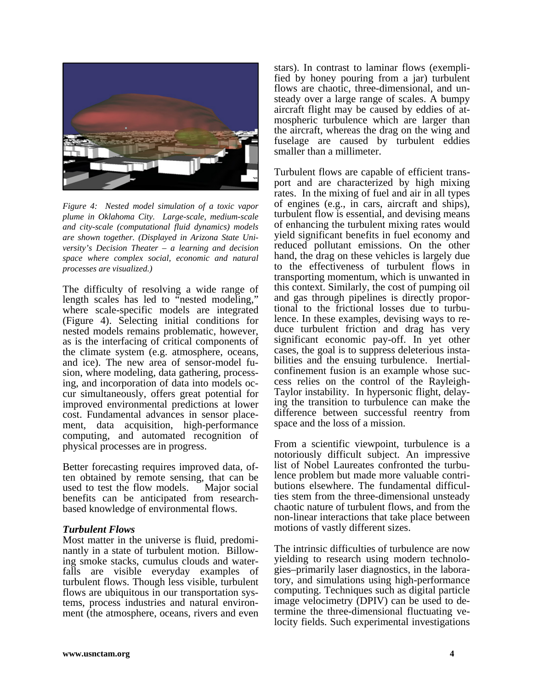

*Figure 4: Nested model simulation of a toxic vapor plume in Oklahoma City. Large-scale, medium-scale and city-scale (computational fluid dynamics) models are shown together. (Displayed in Arizona State University's Decision Theater – a learning and decision space where complex social, economic and natural processes are visualized.)* 

The difficulty of resolving a wide range of length scales has led to "nested modeling," where scale-specific models are integrated (Figure 4). Selecting initial conditions for nested models remains problematic, however, as is the interfacing of critical components of the climate system (e.g. atmosphere, oceans, and ice). The new area of sensor-model fusion, where modeling, data gathering, processing, and incorporation of data into models occur simultaneously, offers great potential for improved environmental predictions at lower cost. Fundamental advances in sensor placement, data acquisition, high-performance computing, and automated recognition of physical processes are in progress.

Better forecasting requires improved data, often obtained by remote sensing, that can be used to test the flow models. Major social benefits can be anticipated from researchbased knowledge of environmental flows.

### *Turbulent Flows*

Most matter in the universe is fluid, predominantly in a state of turbulent motion. Billowing smoke stacks, cumulus clouds and waterfalls are visible everyday examples of turbulent flows. Though less visible, turbulent flows are ubiquitous in our transportation systems, process industries and natural environment (the atmosphere, oceans, rivers and even

stars). In contrast to laminar flows (exemplified by honey pouring from a jar) turbulent flows are chaotic, three-dimensional, and unsteady over a large range of scales. A bumpy aircraft flight may be caused by eddies of atmospheric turbulence which are larger than the aircraft, whereas the drag on the wing and fuselage are caused by turbulent eddies smaller than a millimeter.

Turbulent flows are capable of efficient transport and are characterized by high mixing rates. In the mixing of fuel and air in all types of engines (e.g., in cars, aircraft and ships), turbulent flow is essential, and devising means of enhancing the turbulent mixing rates would yield significant benefits in fuel economy and reduced pollutant emissions. On the other hand, the drag on these vehicles is largely due to the effectiveness of turbulent flows in transporting momentum, which is unwanted in this context. Similarly, the cost of pumping oil and gas through pipelines is directly proportional to the frictional losses due to turbulence. In these examples, devising ways to reduce turbulent friction and drag has very significant economic pay-off. In yet other cases, the goal is to suppress deleterious instabilities and the ensuing turbulence. Inertialconfinement fusion is an example whose success relies on the control of the Rayleigh-Taylor instability. In hypersonic flight, delaying the transition to turbulence can make the difference between successful reentry from space and the loss of a mission.

From a scientific viewpoint, turbulence is a notoriously difficult subject. An impressive list of Nobel Laureates confronted the turbulence problem but made more valuable contributions elsewhere. The fundamental difficulties stem from the three-dimensional unsteady chaotic nature of turbulent flows, and from the non-linear interactions that take place between motions of vastly different sizes.

The intrinsic difficulties of turbulence are now yielding to research using modern technologies–primarily laser diagnostics, in the laboratory, and simulations using high-performance computing. Techniques such as digital particle image velocimetry (DPIV) can be used to determine the three-dimensional fluctuating velocity fields. Such experimental investigations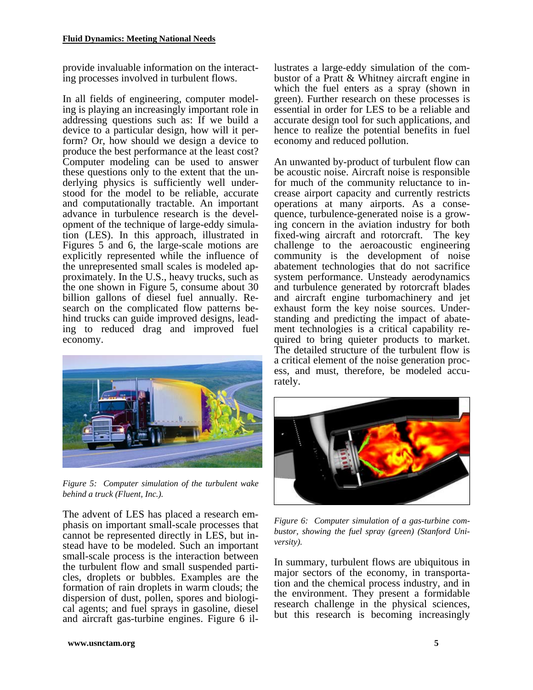provide invaluable information on the interacting processes involved in turbulent flows.

In all fields of engineering, computer modeling is playing an increasingly important role in addressing questions such as: If we build a device to a particular design, how will it perform? Or, how should we design a device to produce the best performance at the least cost? Computer modeling can be used to answer these questions only to the extent that the underlying physics is sufficiently well understood for the model to be reliable, accurate and computationally tractable. An important advance in turbulence research is the development of the technique of large-eddy simulation (LES). In this approach, illustrated in Figures 5 and 6, the large-scale motions are explicitly represented while the influence of the unrepresented small scales is modeled approximately. In the U.S., heavy trucks, such as the one shown in Figure 5, consume about 30 billion gallons of diesel fuel annually. Research on the complicated flow patterns behind trucks can guide improved designs, leading to reduced drag and improved fuel economy.



*Figure 5: Computer simulation of the turbulent wake behind a truck (Fluent, Inc.).* 

The advent of LES has placed a research emphasis on important small-scale processes that cannot be represented directly in LES, but instead have to be modeled. Such an important small-scale process is the interaction between the turbulent flow and small suspended particles, droplets or bubbles. Examples are the formation of rain droplets in warm clouds; the dispersion of dust, pollen, spores and biological agents; and fuel sprays in gasoline, diesel and aircraft gas-turbine engines. Figure 6 illustrates a large-eddy simulation of the combustor of a Pratt & Whitney aircraft engine in which the fuel enters as a spray (shown in green). Further research on these processes is essential in order for LES to be a reliable and accurate design tool for such applications, and hence to realize the potential benefits in fuel economy and reduced pollution.

An unwanted by-product of turbulent flow can be acoustic noise. Aircraft noise is responsible for much of the community reluctance to increase airport capacity and currently restricts operations at many airports. As a consequence, turbulence-generated noise is a growing concern in the aviation industry for both fixed-wing aircraft and rotorcraft. The key challenge to the aeroacoustic engineering community is the development of noise abatement technologies that do not sacrifice system performance. Unsteady aerodynamics and turbulence generated by rotorcraft blades and aircraft engine turbomachinery and jet exhaust form the key noise sources. Understanding and predicting the impact of abatement technologies is a critical capability required to bring quieter products to market. The detailed structure of the turbulent flow is a critical element of the noise generation process, and must, therefore, be modeled accurately.



*Figure 6: Computer simulation of a gas-turbine combustor, showing the fuel spray (green) (Stanford University).* 

In summary, turbulent flows are ubiquitous in major sectors of the economy, in transportation and the chemical process industry, and in the environment. They present a formidable research challenge in the physical sciences, but this research is becoming increasingly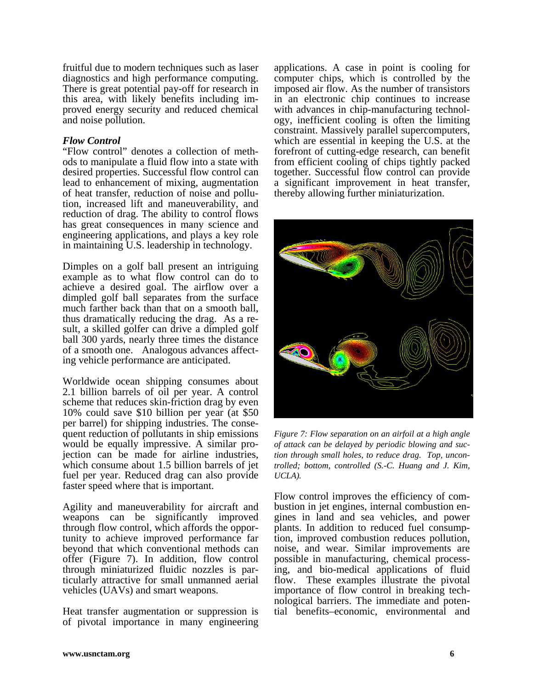fruitful due to modern techniques such as laser diagnostics and high performance computing. There is great potential pay-off for research in this area, with likely benefits including improved energy security and reduced chemical and noise pollution.

## *Flow Control*

"Flow control" denotes a collection of methods to manipulate a fluid flow into a state with desired properties. Successful flow control can lead to enhancement of mixing, augmentation of heat transfer, reduction of noise and pollution, increased lift and maneuverability, and reduction of drag. The ability to control flows has great consequences in many science and engineering applications, and plays a key role in maintaining U.S. leadership in technology.

Dimples on a golf ball present an intriguing example as to what flow control can do to achieve a desired goal. The airflow over a dimpled golf ball separates from the surface much farther back than that on a smooth ball, thus dramatically reducing the drag. As a result, a skilled golfer can drive a dimpled golf ball 300 yards, nearly three times the distance of a smooth one. Analogous advances affecting vehicle performance are anticipated.

Worldwide ocean shipping consumes about 2.1 billion barrels of oil per year. A control scheme that reduces skin-friction drag by even 10% could save \$10 billion per year (at \$50 per barrel) for shipping industries. The consequent reduction of pollutants in ship emissions would be equally impressive. A similar projection can be made for airline industries, which consume about 1.5 billion barrels of jet fuel per year. Reduced drag can also provide faster speed where that is important.

Agility and maneuverability for aircraft and weapons can be significantly improved through flow control, which affords the opportunity to achieve improved performance far beyond that which conventional methods can offer (Figure 7). In addition, flow control through miniaturized fluidic nozzles is particularly attractive for small unmanned aerial vehicles (UAVs) and smart weapons.

Heat transfer augmentation or suppression is of pivotal importance in many engineering applications. A case in point is cooling for computer chips, which is controlled by the imposed air flow. As the number of transistors in an electronic chip continues to increase with advances in chip-manufacturing technology, inefficient cooling is often the limiting constraint. Massively parallel supercomputers, which are essential in keeping the U.S. at the forefront of cutting-edge research, can benefit from efficient cooling of chips tightly packed together. Successful flow control can provide a significant improvement in heat transfer, thereby allowing further miniaturization.



*Figure 7: Flow separation on an airfoil at a high angle of attack can be delayed by periodic blowing and suction through small holes, to reduce drag. Top, uncontrolled; bottom, controlled (S.-C. Huang and J. Kim, UCLA).*

Flow control improves the efficiency of combustion in jet engines, internal combustion engines in land and sea vehicles, and power plants. In addition to reduced fuel consumption, improved combustion reduces pollution, noise, and wear. Similar improvements are possible in manufacturing, chemical processing, and bio-medical applications of fluid flow. These examples illustrate the pivotal importance of flow control in breaking technological barriers. The immediate and potential benefits–economic, environmental and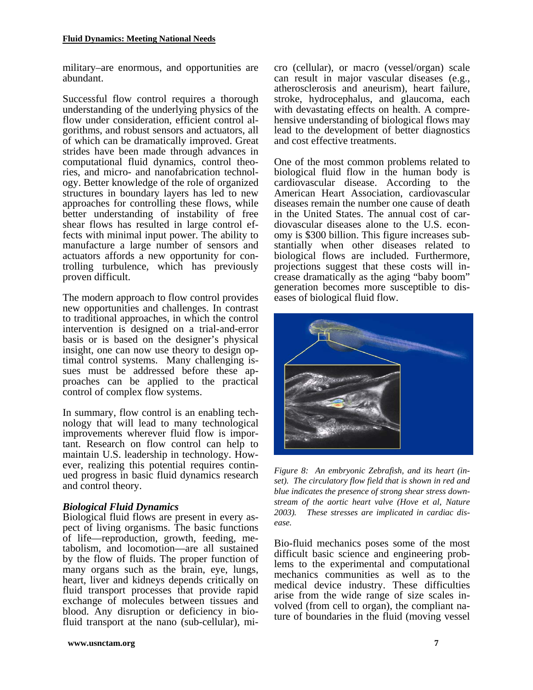military–are enormous, and opportunities are abundant.

Successful flow control requires a thorough understanding of the underlying physics of the flow under consideration, efficient control algorithms, and robust sensors and actuators, all of which can be dramatically improved. Great strides have been made through advances in computational fluid dynamics, control theories, and micro- and nanofabrication technology. Better knowledge of the role of organized structures in boundary layers has led to new approaches for controlling these flows, while better understanding of instability of free shear flows has resulted in large control effects with minimal input power. The ability to manufacture a large number of sensors and actuators affords a new opportunity for controlling turbulence, which has previously proven difficult.

The modern approach to flow control provides new opportunities and challenges. In contrast to traditional approaches, in which the control intervention is designed on a trial-and-error basis or is based on the designer's physical insight, one can now use theory to design optimal control systems. Many challenging issues must be addressed before these approaches can be applied to the practical control of complex flow systems.

In summary, flow control is an enabling technology that will lead to many technological improvements wherever fluid flow is important. Research on flow control can help to maintain U.S. leadership in technology. However, realizing this potential requires continued progress in basic fluid dynamics research and control theory.

# *Biological Fluid Dynamics*

Biological fluid flows are present in every aspect of living organisms. The basic functions of life—reproduction, growth, feeding, metabolism, and locomotion—are all sustained by the flow of fluids. The proper function of many organs such as the brain, eye, lungs, heart, liver and kidneys depends critically on fluid transport processes that provide rapid exchange of molecules between tissues and blood. Any disruption or deficiency in biofluid transport at the nano (sub-cellular), micro (cellular), or macro (vessel/organ) scale can result in major vascular diseases (e.g., atherosclerosis and aneurism), heart failure, stroke, hydrocephalus, and glaucoma, each with devastating effects on health. A comprehensive understanding of biological flows may lead to the development of better diagnostics and cost effective treatments.

One of the most common problems related to biological fluid flow in the human body is cardiovascular disease. According to the American Heart Association, cardiovascular diseases remain the number one cause of death in the United States. The annual cost of cardiovascular diseases alone to the U.S. economy is \$300 billion. This figure increases substantially when other diseases related to biological flows are included. Furthermore, projections suggest that these costs will increase dramatically as the aging "baby boom" generation becomes more susceptible to diseases of biological fluid flow.



*Figure 8: An embryonic Zebrafish, and its heart (inset). The circulatory flow field that is shown in red and blue indicates the presence of strong shear stress downstream of the aortic heart valve (Hove et al, Nature 2003). These stresses are implicated in cardiac disease.* 

Bio-fluid mechanics poses some of the most difficult basic science and engineering problems to the experimental and computational mechanics communities as well as to the medical device industry. These difficulties arise from the wide range of size scales involved (from cell to organ), the compliant nature of boundaries in the fluid (moving vessel